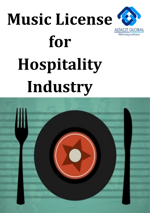# **Music License for**



# **Hospitality Industry**

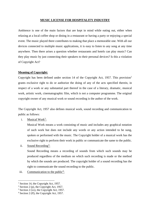#### **MUSIC LICENSE FOR HOSPITALITY INDUSTRY**

Ambience is one of the main factors that are kept in mind while eating out, either when relaxing at a local coffee shop or dining in a restaurant or having a party or enjoying a special event. The music played there contributes to making that place a memorable one. With all our devices connected to multiple music applications, it is easy to listen to any song at any time anywhere. Then there arises a question whether restaurants and hotels can play music? Can they play music by just connecting their speakers to their personal devices? Is this a violation of Copyright Act?

## **Meaning of Copyright:**

Copyright has been defined under section 14 of the Copyright Act, 1957. This provision<sup>1</sup> grants exclusive right to do or authorize the doing of any of the acts specified therein, in respect of a work or any substantial part thereof in the case of a literary, dramatic, musical work, artistic work, cinematographic film, which is not a computer programme. The original copyright owner of any musical work or sound recording is the author of the work.

The Copyright Act, 1957 also defines musical work, sound recording and communication to public as follows:

# i. Musical Work<sup>2</sup>:

Musical Work means a work consisting of music and includes any graphical notation of such work but does not include any words or any action intended to be sung, spoken or performed with the music. The Copyright holder of a musical work has the exclusive right to perform their work in public or communicate the same to the public.

ii. Sound Recording<sup>3</sup>:

Sound Recording means a recording of sounds from which such sounds may be produced regardless of the medium on which such recording is made or the method by which the sounds are produced. The copyright holder of a sound recording has the right to communicate the sound recording to the public.

iii. Communication to the public<sup>4</sup>:

<sup>&</sup>lt;sup>1</sup> Section 14, the Copyright Act, 1957.

<sup>&</sup>lt;sup>2</sup> Section 2 (p), the Copyright Act, 1957.

 $3$  Section 2 (xx), the Copyright Act, 1957.

 $4$  Section 2 (ff), the Copyright Act, 1957.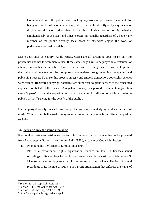Communication to the public means making any work or performance available for being seen or heard or otherwise enjoyed by the public directly or by any means of display or diffusion other than by issuing physical copies of it, whether simultaneously or at places and times chosen individually, regardless of whether any member of the public actually sees, hears or otherwise enjoys the work or performance so made available.

Music apps such as Spotify, Apple Music, Gaana are all streaming apps meant only for private use and not for commercial use. If the same songs have to be played in a restaurant or a hotel, a music license must be obtained. The purpose of issuing music licenses is to protect the rights and interests of the composers, songwriters, song recording companies and publishing houses. To make this process an easy and smooth transaction, copyright societies were formed. Registered copyright societies<sup>5</sup> are authorized to grant licenses to the concerned applicants on behalf of the owners. A registered society is supposed to renew its registration every 5 years<sup>6</sup>. Under the copyright act, it is mandatory for all the copyright societies to publish its tariff scheme for the benefit of the public<sup>7</sup>.

Each copyright society issues license for protecting various underlying works in a piece of music. When a song is licensed, it may require one or more license from different copyright societies.

#### **A. licensing only the sound recording**

If a hotel or restaurant wishes to use and play recorded music, license has to be procured from Phonographic Performance Limited India (PPL), a registered Copyright Society.

i. Phonographic Performance Limited India (PPL)<sup>8</sup>:

PPL is a performance rights organization founded in 1941. It licenses sound recordings of its members for public performance and broadcast. By obtaining a PPL License, a licensee is granted exclusive access to their wide collection of sound recordings of its members. PPL is a non-profit organization that enforces the rights of

<sup>5</sup> Section 33, the Copyright Act, 1957.

 $6$  Section 33 (3), the Copyright Act, 1957.

<sup>7</sup> Section 33 A, the Copyright Act, 1957.

<sup>8</sup> https://www.pplindia.org/s/what-is-ppl.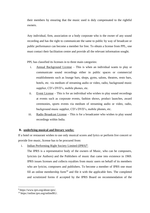their members by ensuring that the music used is duly compensated to the rightful owners.

Any individual, firm, association or a body corporate who is the owner of any sound recording and has the right to communicate the same to public by way of broadcast or public performance can become a member for free. To obtain a license from PPL, one must contact their facilitation centre and provide all the relevant information sought.

PPL has classified its licenses in to three main categories:

- i. Annual Background License This is when an individual wants to play or communicate sound recordings either in public spaces or commercial establishments such as lounge bars, shops, gyms, salons, theatres, resto bars, hotels, etc. via medium of streaming audio or video, radio, background music supplier, CD's DVD's, mobile phones, etc.
- ii. Event License This is for an individual who wishes to play sound recordings at events such as corporate events, fashion shows, product launches, award ceremonies, sports events via medium of streaming audio or video, radio, background music supplier, CD's DVD's, mobile phones, etc.
- iii. Radio Broadcast License This is for a broadcaster who wishes to play sound recordings within India.

# **B. underlying musical and literary works:**

If a hotel or restaurant wishes to use only musical scores and lyrics or perform live concert or provide live music, license has to be procured from:

i. Indian Performing Right Society Limited (IPRS)<sup>9</sup>:

The IPRS is a representative body of the owners of Music, who can be composers, lyricists (or Authors) and the Publishers of music that came into existence in 1969. IPRS issues licenses and collects royalties from music users on behalf of its members who are lyricist, composers and publishers. To become a member of IPRS one must fill an online membership form $10$  and file it with the applicable fees. The completed and scrutinized forms if accepted by the IPRS Board on recommendation of the

<sup>9</sup> https://www.iprs.org/about-iprs/.

<sup>10</sup> https://online.iprs.org/onlineBG/.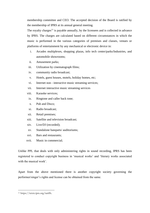membership committee and CEO. The accepted decision of the Board is ratified by the membership of IPRS at its annual general meeting.

The royalty charges<sup>11</sup> is payable annually, by the licensees and is collected in advance by IPRS. The charges are calculated based on different circumstances in which the music is performed in the various categories of premises and classes, venues or platforms of entertainment by any mechanical or electronic device in:

- i. Arcades multiplexes, shopping plazas, info tech center/parks/Industries, and automobile showrooms;
- ii. Amusement parks;
- iii. Utilization by cinematograph films;
- iv. community radio broadcast;
- v. Hotels, guest houses, motels, holiday homes, etc;
- vi. Internet non interactive music streaming services;
- vii. Internet interactive music streaming services
- viii. Karaoke services;
- ix. Ringtone and caller back tone;
- x. Pub and Disco;
- xi. Radio broadcast;
- xii. Retail premises;
- xiii. Satellite and television broadcast;
- xiv. Live/DJ (recorded);
- xv. Standalone banquets/ auditoriums;
- xvi. Bars and restaurants;
- xvii. Music in commercial;

Unlike PPL that deals with only administering rights in sound recording, IPRS has been registered to conduct copyright business in 'musical works' and 'literary works associated with the musical work'.

Apart from the above mentioned there is another copyright society governing the performer/singer's rights and license can be obtained from the same.

<sup>11</sup> https://www.iprs.org/tariffs.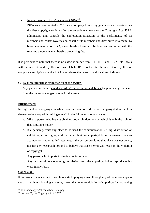# i. Indian Singers Rights Association  $(ISRA)^{12}$ :

ISRA was incorporated in 2013 as a company limited by guarantee and registered as the first copyright society after the amendment made to the Copyright Act. ISRA administers and controls the exploitation/utilization of the performance of its members and collets royalties on behalf of its members and distributes it to them. To become a member of ISRA, a membership form must be filled and submitted with the required amount as membership processing fee.

It is pertinent to note that there is no association between PPL, IPRS and ISRA. PPL deals with the interests and royalties of music labels, IPRS looks after the interest of royalties of composers and lyricists while ISRA administers the interests and royalties of singers.

# **C. By direct purchase or license from the owner:**

Any party can obtain sound recording, music score and lyrics by purchasing the same from the owner or can get license for the same.

## **Infringement:**

Infringement of a copyright is when there is unauthorized use of a copyrighted work. It is deemed to be a copyright infringement<sup>13</sup> in the following circumstances of:

- a. When a person who has not obtained copyright does any act which is only the right of that copyright holder;
- b. If a person permits any place to be used for communication, selling, distribution or exhibiting an infringing work, without obtaining copyright from the owner. Such an act may not amount to infringement, if the person providing that place was not aware, nor has any reasonable ground to believe that such permit will result in the violation of copyright.
- c. Any person who imports infringing copies of a work.
- d. Any person without obtaining permission from the copyright holder reproduces his work in any form.

# **Conclusion:**

If an owner of a restaurant or a café resorts to playing music through any of the music apps to cut costs without obtaining a license, it would amount to violation of copyright for not having

 $12$  http://isracopyright.com/about\_isra.php.

 $13$  Section 51, the Copyright Act, 1957.